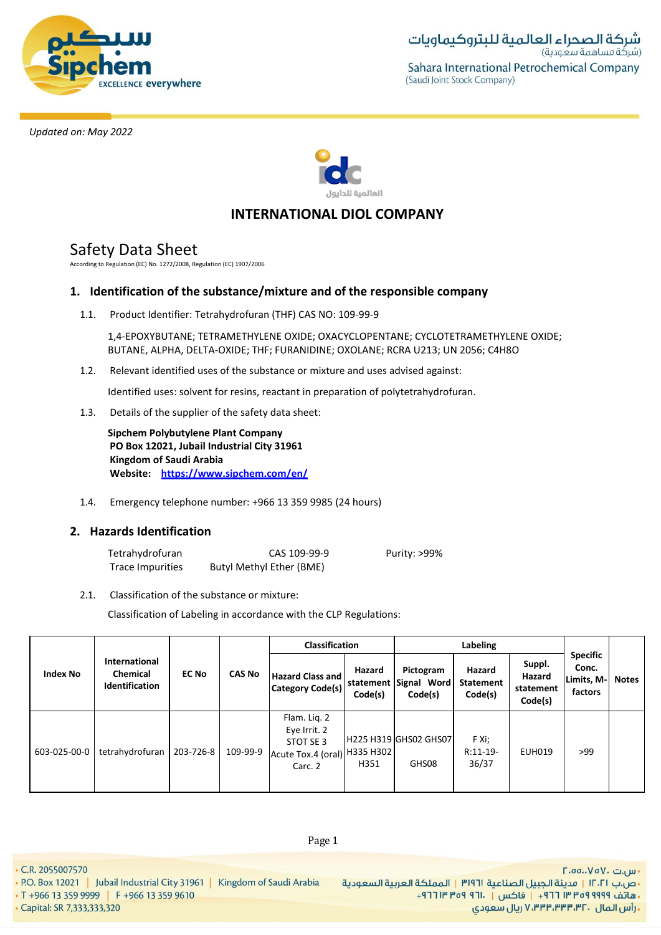



# **INTERNATIONAL DIOL COMPANY**

# Safety Data Sheet

According to Regulation (EC) No. 1272/2008, Regulation (EC) 1907/2006

## **1. Identification of the substance/mixture and of the responsible company**

1.1. Product Identifier: Tetrahydrofuran (THF) CAS NO: 109-99-9

1,4-EPOXYBUTANE; TETRAMETHYLENE OXIDE; OXACYCLOPENTANE; CYCLOTETRAMETHYLENE OXIDE; BUTANE, ALPHA, DELTA-OXIDE; THF; FURANIDINE; OXOLANE; RCRA U213; UN 2056; C4H8O

1.2. Relevant identified uses of the substance or mixture and uses advised against:

Identified uses: solvent for resins, reactant in preparation of polytetrahydrofuran.

1.3. Details of the supplier of the safety data sheet:

**Sipchem Polybutylene Plant Company PO Box 12021, Jubail Industrial City 31961 Kingdom of Saudi Arabia Website: https://www.sipchem.com/en/**

1.4. Emergency telephone number: +966 13 359 9985 (24 hours)

## **2. Hazards Identification**

| Tetrahydrofuran  | CAS 109-99-9             | Purity: >99% |
|------------------|--------------------------|--------------|
| Trace Impurities | Butyl Methyl Ether (BME) |              |

2.1. Classification of the substance or mixture:

Classification of Labeling in accordance with the CLP Regulations:

|                 |                                                    |              |               | <b>Classification</b>                                                      |                   |                                               |                                       |                                          |                                                   |       |
|-----------------|----------------------------------------------------|--------------|---------------|----------------------------------------------------------------------------|-------------------|-----------------------------------------------|---------------------------------------|------------------------------------------|---------------------------------------------------|-------|
| <b>Index No</b> | International<br><b>Chemical</b><br>Identification | <b>EC No</b> | <b>CAS No</b> | <b>Hazard Class and</b><br><b>Category Code(s)</b>                         | Hazard<br>Code(s) | Pictogram<br>statement Signal Word<br>Code(s) | Hazard<br><b>Statement</b><br>Code(s) | Suppl.<br>Hazard<br>statement<br>Code(s) | <b>Specific</b><br>Conc.<br>Limits, M-<br>factors | Notes |
| 603-025-00-0    | tetrahydrofuran                                    | 203-726-8    | 109-99-9      | Flam. Lig. 2<br>Eye Irrit. 2<br>STOT SE 3<br>Acute Tox.4 (oral)<br>Carc. 2 | H335 H302<br>H351 | H225 H319 GHS02 GHS07<br>GHS08                | F Xi;<br>$R:11-19-$<br>36/37          | <b>EUH019</b>                            | >99                                               |       |

• C.R. 2055007570

- 
- · Capital: SR 7,333,333,320

- س.ت ۷۵۷۰، ۲.۵۵.۰۷۵ - P.O. Box 12021 | Jubail Industrial City 31961 | Kingdom of Saudi Arabia | المملكة العربية السعودية P.O. Box 12021 | Jubail Industrial City 31961 | Kingdom of Saudi Arabia | و P.O. Box 12021 | Jubail Industrial City 3196 ريال سعودي, ۷٬۳۳۳٬۳۳۳٬۳۲۰ ريال سعودي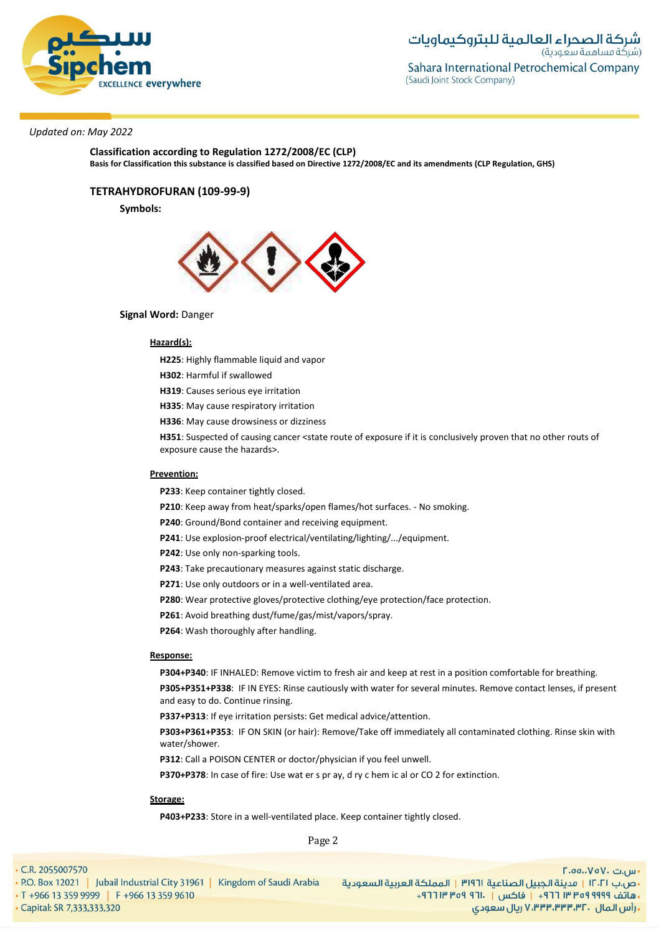

**Classification according to Regulation 1272/2008/EC (CLP) Basis for Classification this substance is classified based on Directive 1272/2008/EC and its amendments (CLP Regulation, GHS)**

## **TETRAHYDROFURAN (109-99-9)**

**Symbols:**



#### **Signal Word:** Danger

#### **Hazard(s):**

**H225**: Highly flammable liquid and vapor

**H302**: Harmful if swallowed

**H319**: Causes serious eye irritation

**H335**: May cause respiratory irritation

**H336**: May cause drowsiness or dizziness

**H351**: Suspected of causing cancer <state route of exposure if it is conclusively proven that no other routs of exposure cause the hazards>.

#### **Prevention:**

- **P233**: Keep container tightly closed.
- **P210**: Keep away from heat/sparks/open flames/hot surfaces. No smoking.

**P240**: Ground/Bond container and receiving equipment.

- **P241**: Use explosion-proof electrical/ventilating/lighting/.../equipment.
- **P242**: Use only non-sparking tools.
- **P243**: Take precautionary measures against static discharge.
- **P271**: Use only outdoors or in a well-ventilated area.
- **P280**: Wear protective gloves/protective clothing/eye protection/face protection.
- **P261**: Avoid breathing dust/fume/gas/mist/vapors/spray.
- **P264**: Wash thoroughly after handling.

#### **Response:**

**P304+P340**: IF INHALED: Remove victim to fresh air and keep at rest in a position comfortable for breathing.

**P305+P351+P338**: IF IN EYES: Rinse cautiously with water for several minutes. Remove contact lenses, if present and easy to do. Continue rinsing.

**P337+P313**: If eye irritation persists: Get medical advice/attention.

**P303+P361+P353**: IF ON SKIN (or hair): Remove/Take off immediately all contaminated clothing. Rinse skin with water/shower.

**P312**: Call a POISON CENTER or doctor/physician if you feel unwell.

**P370+P378**: In case of fire: Use wat er s pr ay, d ry c hem ic al or CO 2 for extinction.

#### **Storage:**

**P403+P233**: Store in a well-ventilated place. Keep container tightly closed.

Page 2

• C.R. 2055007570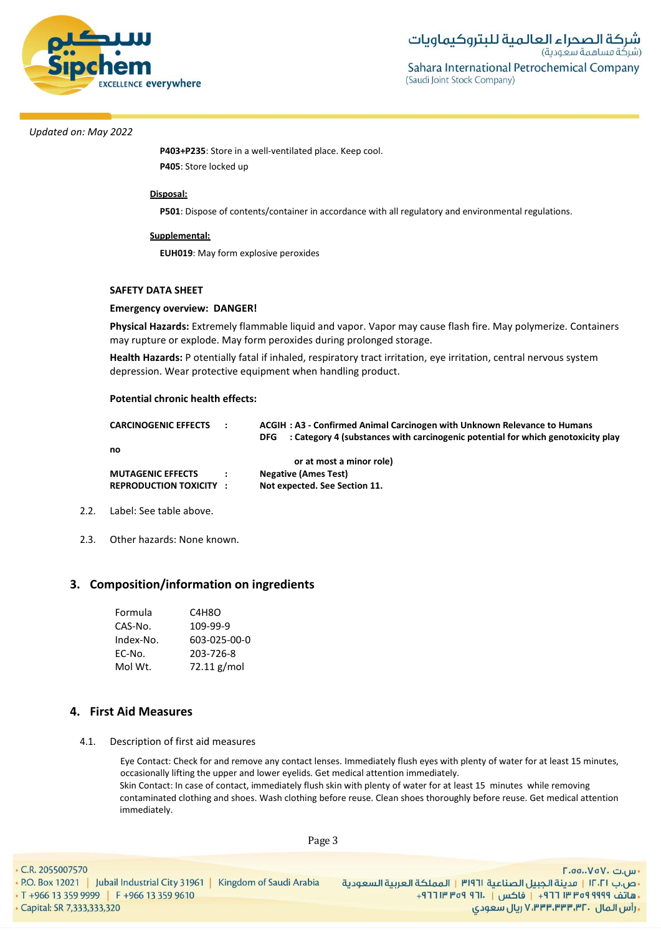

**P403+P235**: Store in a well-ventilated place. Keep cool. **P405**: Store locked up

#### **Disposal:**

**P501**: Dispose of contents/container in accordance with all regulatory and environmental regulations.

#### **Supplemental:**

**EUH019**: May form explosive peroxides

#### **SAFETY DATA SHEET**

#### **Emergency overview: DANGER!**

**Physical Hazards:** Extremely flammable liquid and vapor. Vapor may cause flash fire. May polymerize. Containers may rupture or explode. May form peroxides during prolonged storage.

**Health Hazards:** P otentially fatal if inhaled, respiratory tract irritation, eye irritation, central nervous system depression. Wear protective equipment when handling product.

#### **Potential chronic health effects:**

| <b>CARCINOGENIC EFFECTS</b>    | ACGIH: A3 - Confirmed Animal Carcinogen with Unknown Relevance to Humans<br>: Category 4 (substances with carcinogenic potential for which genotoxicity play<br>DFG. |
|--------------------------------|----------------------------------------------------------------------------------------------------------------------------------------------------------------------|
| no                             |                                                                                                                                                                      |
|                                | or at most a minor role)                                                                                                                                             |
| <b>MUTAGENIC EFFECTS</b>       | <b>Negative (Ames Test)</b>                                                                                                                                          |
| <b>REPRODUCTION TOXICITY :</b> | Not expected. See Section 11.                                                                                                                                        |
|                                |                                                                                                                                                                      |

- 2.2. Label: See table above.
- 2.3. Other hazards: None known.

## **3. Composition/information on ingredients**

| Formula   | C <sub>4</sub> H <sub>8</sub> O |
|-----------|---------------------------------|
| CAS-No.   | 109-99-9                        |
| Index-No. | 603-025-00-0                    |
| EC-No.    | 203-726-8                       |
| Mol Wt.   | 72.11 g/mol                     |

## **4. First Aid Measures**

4.1. Description of first aid measures

Eye Contact: Check for and remove any contact lenses. Immediately flush eyes with plenty of water for at least 15 minutes, occasionally lifting the upper and lower eyelids. Get medical attention immediately. Skin Contact: In case of contact, immediately flush skin with plenty of water for at least 15 minutes while removing contaminated clothing and shoes. Wash clothing before reuse. Clean shoes thoroughly before reuse. Get medical attention immediately.

Page 3

• C.R. 2055007570

- س.ت ۷۵۷۰، ۲.۵۵.۰۷۵ - ص.ب IT، السعادة الجبيل الصناعية الـ 191٣ | المملكة العربية السعودية السعودة العربية السعودة العربية السعودية<br>- هاتف 1919 1949 11 11+ | فاكس | .11+ 1964 19 11+ 1966 13 159 9610 11+ 10+ 1966 13 159 9999 15+ 1966 13 359 19 **. رأس المال ۷٬۳۳۳٬۳۳۰٬۳۲۰ ريال سعودی** 

· Capital: SR 7,333,333,320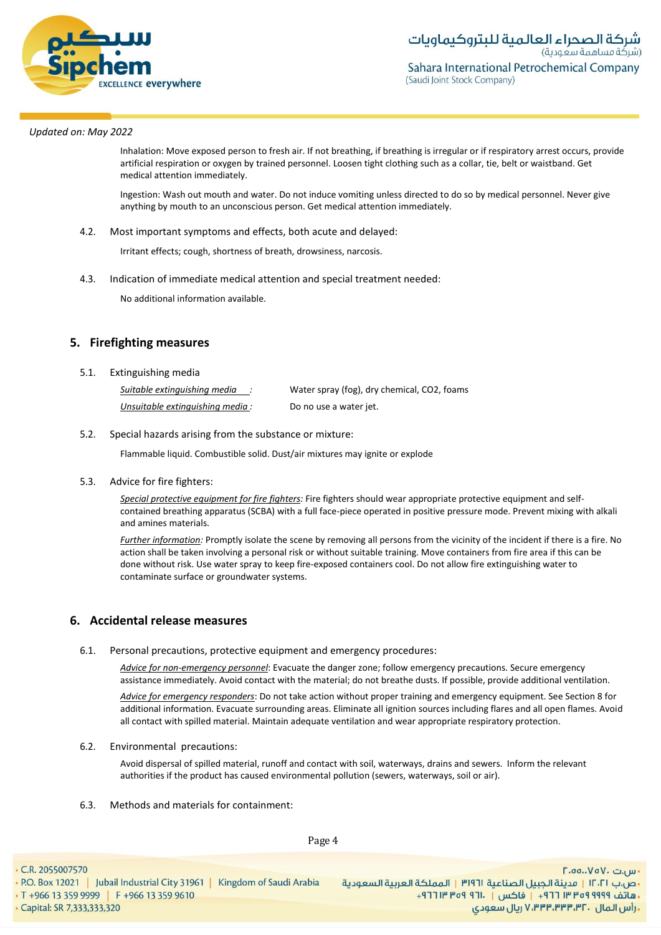

Inhalation: Move exposed person to fresh air. If not breathing, if breathing is irregular or if respiratory arrest occurs, provide artificial respiration or oxygen by trained personnel. Loosen tight clothing such as a collar, tie, belt or waistband. Get medical attention immediately.

Ingestion: Wash out mouth and water. Do not induce vomiting unless directed to do so by medical personnel. Never give anything by mouth to an unconscious person. Get medical attention immediately.

4.2. Most important symptoms and effects, both acute and delayed:

Irritant effects; cough, shortness of breath, drowsiness, narcosis.

4.3. Indication of immediate medical attention and special treatment needed:

No additional information available.

## **5. Firefighting measures**

- 5.1. Extinguishing media *Suitable extinguishing media :* Water spray (fog), dry chemical, CO2, foams *Unsuitable extinguishing media :* Do no use a water jet.
- 5.2. Special hazards arising from the substance or mixture:

Flammable liquid. Combustible solid. Dust/air mixtures may ignite or explode

5.3. Advice for fire fighters:

*Special protective equipment for fire fighters:* Fire fighters should wear appropriate protective equipment and selfcontained breathing apparatus (SCBA) with a full face-piece operated in positive pressure mode. Prevent mixing with alkali and amines materials.

*Further information:* Promptly isolate the scene by removing all persons from the vicinity of the incident if there is a fire. No action shall be taken involving a personal risk or without suitable training. Move containers from fire area if this can be done without risk. Use water spray to keep fire-exposed containers cool. Do not allow fire extinguishing water to contaminate surface or groundwater systems.

## **6. Accidental release measures**

6.1. Personal precautions, protective equipment and emergency procedures:

*Advice for non-emergency personnel*: Evacuate the danger zone; follow emergency precautions. Secure emergency assistance immediately. Avoid contact with the material; do not breathe dusts. If possible, provide additional ventilation.

*Advice for emergency responders*: Do not take action without proper training and emergency equipment. See Section 8 for additional information. Evacuate surrounding areas. Eliminate all ignition sources including flares and all open flames. Avoid all contact with spilled material. Maintain adequate ventilation and wear appropriate respiratory protection.

6.2. Environmental precautions:

Avoid dispersal of spilled material, runoff and contact with soil, waterways, drains and sewers. Inform the relevant authorities if the product has caused environmental pollution (sewers, waterways, soil or air).

6.3. Methods and materials for containment:

Page 4

• C.R. 2055007570 . س.ت ۷۵۷۰، ۲.۵۵.۰۷ - ص.ب IT، السعردية الجبيل الصناعية 1911 | المملكة العربية السعودية | 1961 P.O. Box 12021 | Jubail Industrial City 31961 | Kingdom of Saudi Arabia<br>- هاتف 1999 Pre 13 359 9999 | F +966 13 359 9610 . [19] Tre of 911. [19] 19 · Capital: SR 7,333,333,320 **. رأس المال ۷٬۳۳۳٬۳۳۳٬۳۲۰ ریال سعودی**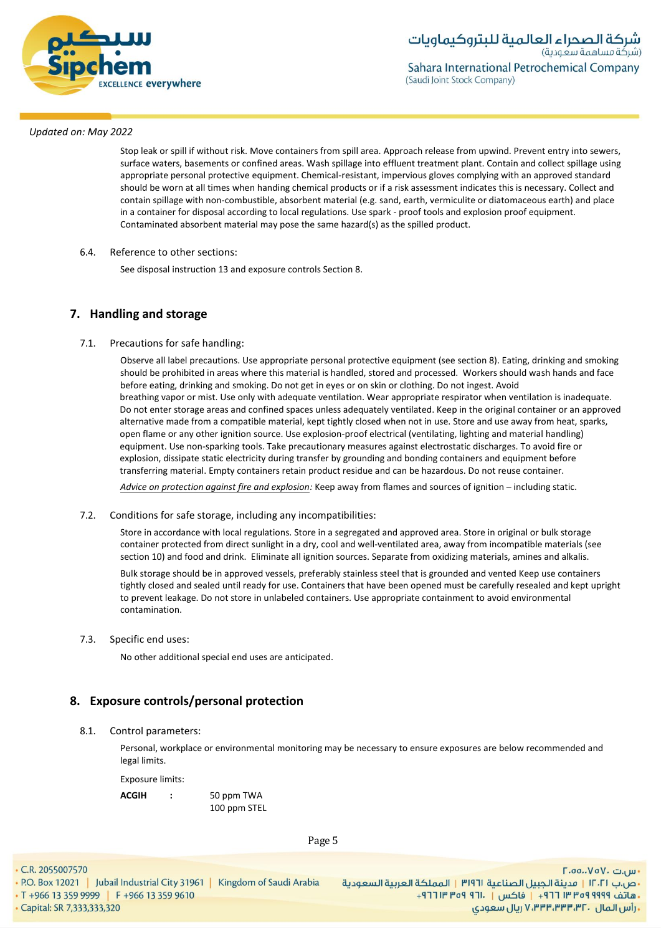

Stop leak or spill if without risk. Move containers from spill area. Approach release from upwind. Prevent entry into sewers, surface waters, basements or confined areas. Wash spillage into effluent treatment plant. Contain and collect spillage using appropriate personal protective equipment. Chemical-resistant, impervious gloves complying with an approved standard should be worn at all times when handing chemical products or if a risk assessment indicates this is necessary. Collect and contain spillage with non-combustible, absorbent material (e.g. sand, earth, vermiculite or diatomaceous earth) and place in a container for disposal according to local regulations. Use spark - proof tools and explosion proof equipment. Contaminated absorbent material may pose the same hazard(s) as the spilled product.

#### 6.4. Reference to other sections:

See disposal instruction 13 and exposure controls Section 8.

## **7. Handling and storage**

#### 7.1. Precautions for safe handling:

Observe all label precautions. Use appropriate personal protective equipment (see section 8). Eating, drinking and smoking should be prohibited in areas where this material is handled, stored and processed. Workers should wash hands and face before eating, drinking and smoking. Do not get in eyes or on skin or clothing. Do not ingest. Avoid breathing vapor or mist. Use only with adequate ventilation. Wear appropriate respirator when ventilation is inadequate. Do not enter storage areas and confined spaces unless adequately ventilated. Keep in the original container or an approved alternative made from a compatible material, kept tightly closed when not in use. Store and use away from heat, sparks, open flame or any other ignition source. Use explosion-proof electrical (ventilating, lighting and material handling) equipment. Use non-sparking tools. Take precautionary measures against electrostatic discharges. To avoid fire or explosion, dissipate static electricity during transfer by grounding and bonding containers and equipment before transferring material. Empty containers retain product residue and can be hazardous. Do not reuse container.

*Advice on protection against fire and explosion:* Keep away from flames and sources of ignition – including static.

#### 7.2. Conditions for safe storage, including any incompatibilities:

Store in accordance with local regulations. Store in a segregated and approved area. Store in original or bulk storage container protected from direct sunlight in a dry, cool and well-ventilated area, away from incompatible materials (see section 10) and food and drink. Eliminate all ignition sources. Separate from oxidizing materials, amines and alkalis.

Bulk storage should be in approved vessels, preferably stainless steel that is grounded and vented Keep use containers tightly closed and sealed until ready for use. Containers that have been opened must be carefully resealed and kept upright to prevent leakage. Do not store in unlabeled containers. Use appropriate containment to avoid environmental contamination.

#### 7.3. Specific end uses:

No other additional special end uses are anticipated.

## **8. Exposure controls/personal protection**

#### 8.1. Control parameters:

Personal, workplace or environmental monitoring may be necessary to ensure exposures are below recommended and legal limits.

Exposure limits:

**ACGIH :** 50 ppm TWA 100 ppm STEL

Page 5

• C.R. 2055007570

∙س.ت ۷۵۷۰، ۲.۵۵.۰ - ص.ب IT**.TI | مدينة الجبيل الصناعية P.O. Box 12021 | Jubail Industrial City 31961 | Kingdom of Saudi Arabia |<br>- هاتف PPP 9999 | F +966 13 359 9610 | F +966 13 359 9610 | F +966 13 359 9610 | 9999 | F +966 13 359 9999 | F , رأس المال ۷٬۳۳۳٬۳۳۳٬۳۲۰ ریال سعودی**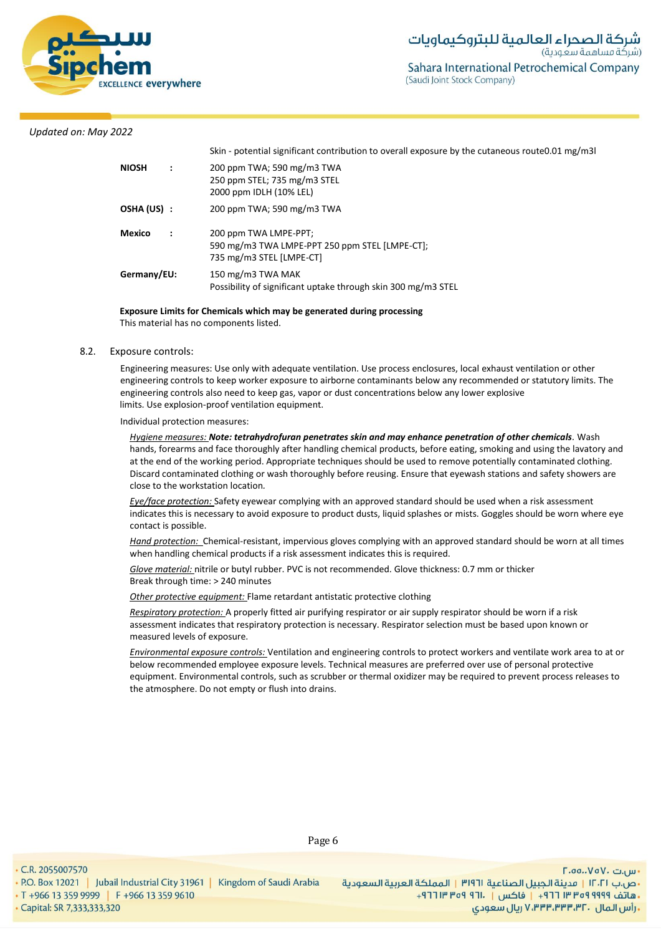

|              |                      | Skin - potential significant contribution to overall exposure by the cutaneous route0.01 mg/m3      |
|--------------|----------------------|-----------------------------------------------------------------------------------------------------|
| <b>NIOSH</b> | $\ddot{\phantom{a}}$ | 200 ppm TWA; 590 mg/m3 TWA<br>250 ppm STEL; 735 mg/m3 STEL<br>2000 ppm IDLH (10% LEL)               |
| OSHA (US) :  |                      | 200 ppm TWA; 590 mg/m3 TWA                                                                          |
| Mexico       |                      | 200 ppm TWA LMPE-PPT;<br>590 mg/m3 TWA LMPE-PPT 250 ppm STEL [LMPE-CT];<br>735 mg/m3 STEL [LMPE-CT] |
| Germany/EU:  |                      | 150 mg/m3 TWA MAK<br>Possibility of significant uptake through skin 300 mg/m3 STEL                  |

**Exposure Limits for Chemicals which may be generated during processing** This material has no components listed.

#### 8.2. Exposure controls:

Engineering measures: Use only with adequate ventilation. Use process enclosures, local exhaust ventilation or other engineering controls to keep worker exposure to airborne contaminants below any recommended or statutory limits. The engineering controls also need to keep gas, vapor or dust concentrations below any lower explosive limits. Use explosion-proof ventilation equipment.

#### Individual protection measures:

*Hygiene measures: Note: tetrahydrofuran penetrates skin and may enhance penetration of other chemicals.* Wash hands, forearms and face thoroughly after handling chemical products, before eating, smoking and using the lavatory and at the end of the working period. Appropriate techniques should be used to remove potentially contaminated clothing. Discard contaminated clothing or wash thoroughly before reusing. Ensure that eyewash stations and safety showers are close to the workstation location*.*

*Eye/face protection:* Safety eyewear complying with an approved standard should be used when a risk assessment indicates this is necessary to avoid exposure to product dusts, liquid splashes or mists. Goggles should be worn where eye contact is possible.

*Hand protection:* Chemical-resistant, impervious gloves complying with an approved standard should be worn at all times when handling chemical products if a risk assessment indicates this is required.

*Glove material:* nitrile or butyl rubber. PVC is not recommended. Glove thickness: 0.7 mm or thicker Break through time: > 240 minutes

*Other protective equipment:* Flame retardant antistatic protective clothing

*Respiratory protection:* A properly fitted air purifying respirator or air supply respirator should be worn if a risk assessment indicates that respiratory protection is necessary. Respirator selection must be based upon known or measured levels of exposure.

*Environmental exposure controls:* Ventilation and engineering controls to protect workers and ventilate work area to at or below recommended employee exposure levels. Technical measures are preferred over use of personal protective equipment. Environmental controls, such as scrubber or thermal oxidizer may be required to prevent process releases to the atmosphere. Do not empty or flush into drains.

• C.R. 2055007570

Page 6

· Capital: SR 7,333,333,320

 $\Gamma$ .00.. $V$ o $V$ . سى - ص.ب IT، السعردية الجبيل الصناعية 1911 | المملكة العربية السعودية | 1961 P.O. Box 12021 | Jubail Industrial City 31961 | Kingdom of Saudi Arabia<br>- هاتف 1999 Pre 13 359 9999 | F +966 13 359 9610 . [19] Tre of 911. [19] 19 **. رأس المال ۷٬۳۳۳٬۳۳۳٬۳۲۰ ریال سعودی**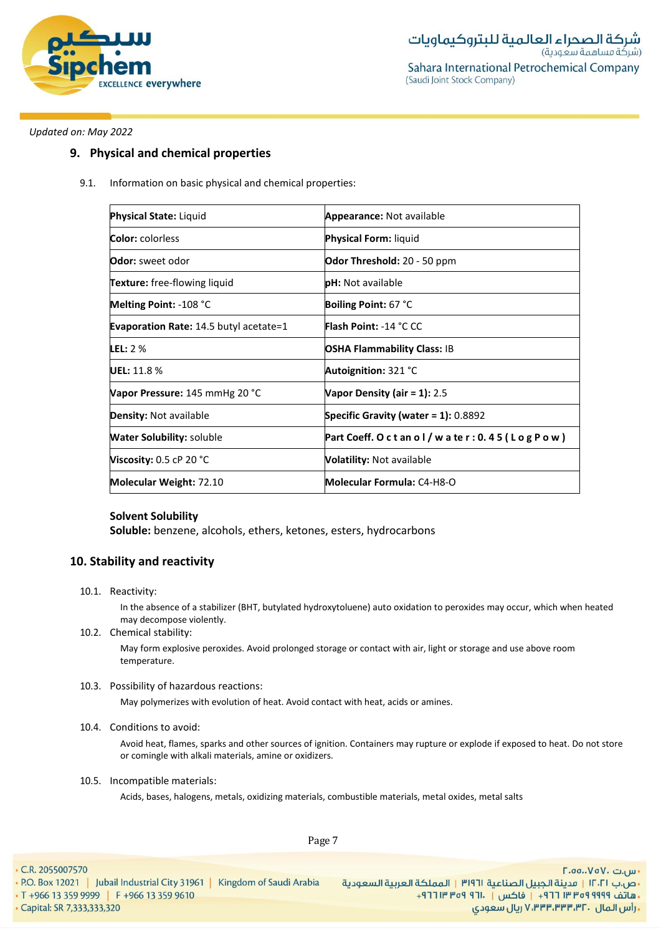

## **9. Physical and chemical properties**

9.1. Information on basic physical and chemical properties:

| <b>Physical State: Liquid</b>                 | <b>Appearance: Not available</b>           |  |  |  |  |
|-----------------------------------------------|--------------------------------------------|--|--|--|--|
| <b>Color:</b> colorless                       | <b>Physical Form: liquid</b>               |  |  |  |  |
| <b>Odor:</b> sweet odor                       | Odor Threshold: 20 - 50 ppm                |  |  |  |  |
| <b>Texture:</b> free-flowing liquid           | <b>pH:</b> Not available                   |  |  |  |  |
| <b>Melting Point: -108 °C</b>                 | <b>Boiling Point: 67 °C</b>                |  |  |  |  |
| <b>Evaporation Rate: 14.5 butyl acetate=1</b> | <b>Flash Point: -14 °C CC</b>              |  |  |  |  |
| <b>LEL:</b> $2%$                              | <b>OSHA Flammability Class: IB</b>         |  |  |  |  |
| <b>UEL: 11.8 %</b>                            | <b>Autoignition:</b> $321 °C$              |  |  |  |  |
| Vapor Pressure: 145 mmHg 20 °C                | Vapor Density (air = $1$ ): 2.5            |  |  |  |  |
| <b>Density:</b> Not available                 | Specific Gravity (water = $1$ ): 0.8892    |  |  |  |  |
| <b>Water Solubility:</b> soluble              | Part Coeff. O ctan ol/water: 0.45 (LogPow) |  |  |  |  |
| Viscosity: $0.5$ cP 20 $^{\circ}$ C           | <b>Volatility: Not available</b>           |  |  |  |  |
| <b>Molecular Weight: 72.10</b>                | <b>Molecular Formula: C4-H8-O</b>          |  |  |  |  |
|                                               |                                            |  |  |  |  |

#### **Solvent Solubility**

**Soluble:** benzene, alcohols, ethers, ketones, esters, hydrocarbons

## **10. Stability and reactivity**

10.1. Reactivity:

In the absence of a stabilizer (BHT, butylated hydroxytoluene) auto oxidation to peroxides may occur, which when heated may decompose violently.

10.2. Chemical stability:

May form explosive peroxides. Avoid prolonged storage or contact with air, light or storage and use above room temperature.

10.3. Possibility of hazardous reactions:

May polymerizes with evolution of heat. Avoid contact with heat, acids or amines.

10.4. Conditions to avoid:

Avoid heat, flames, sparks and other sources of ignition. Containers may rupture or explode if exposed to heat. Do not store or comingle with alkali materials, amine or oxidizers.

#### 10.5. Incompatible materials:

Acids, bases, halogens, metals, oxidizing materials, combustible materials, metal oxides, metal salts

• C.R. 2055007570

Page 7

· Capital: SR 7,333,333,320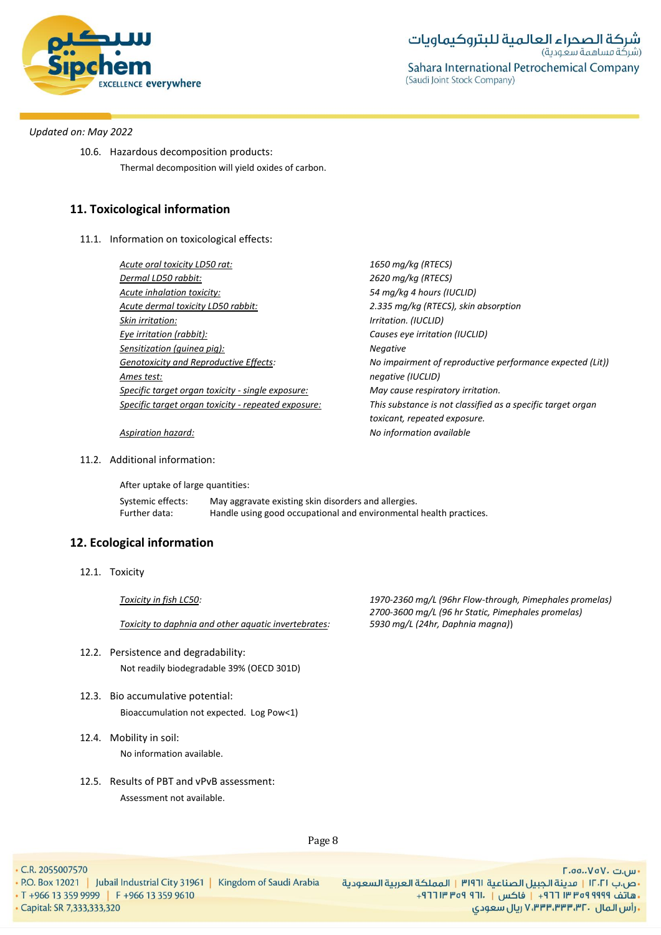

10.6. Hazardous decomposition products: Thermal decomposition will yield oxides of carbon.

## **11. Toxicological information**

11.1. Information on toxicological effects:

*Acute oral toxicity LD50 rat: 1650 mg/kg (RTECS) Dermal LD50 rabbit: 2620 mg/kg (RTECS) Acute inhalation toxicity: 54 mg/kg 4 hours (IUCLID) Acute dermal toxicity LD50 rabbit: 2.335 mg/kg (RTECS), skin absorption Skin irritation: Irritation. (IUCLID) Eye irritation (rabbit): Causes eye irritation (IUCLID) Sensitization (guinea pig): Negative Ames test: negative (IUCLID) Specific target organ toxicity - single exposure: May cause respiratory irritation.*

11.2. Additional information:

After uptake of large quantities:

*Genotoxicity and Reproductive Effects: No impairment of reproductive performance expected (Lit)) Specific target organ toxicity - repeated exposure: This substance is not classified as a specific target organ toxicant, repeated exposure. Aspiration hazard: No information available*

Systemic effects: May aggravate existing skin disorders and allergies. Further data: Handle using good occupational and environmental health practices.

## **12. Ecological information**

12.1. Toxicity

*Toxicity to daphnia and other aquatic invertebrates: 5930 mg/L (24hr, Daphnia magna)*)

- 12.2. Persistence and degradability: Not readily biodegradable 39% (OECD 301D)
- 12.3. Bio accumulative potential: Bioaccumulation not expected. Log Pow<1)
- 12.4. Mobility in soil: No information available.
- 12.5. Results of PBT and vPvB assessment: Assessment not available.

*Toxicity in fish LC50: 1970-2360 mg/L (96hr Flow-through, Pimephales promelas) 2700-3600 mg/L (96 hr Static, Pimephales promelas)*

• C.R. 2055007570

Page 8

· Capital: SR 7,333,333,320

- س.ت ۷۵۷۰، ۲.۵۵.۰۷۵ - P.O. Box 12021 | Jubail Industrial City 31961 | Kingdom of Saudi Arabia | المملكة العربية السعودية P.O. Box 12021 | Jubail Industrial City 31961 | Kingdom of Saudi Arabia | و P.O. Box 12021 | Jubail Industrial City 3196 **. رأس المال ۷٬۳۳۳٬۳۳۰٬۳۲۰ ريال سعودی**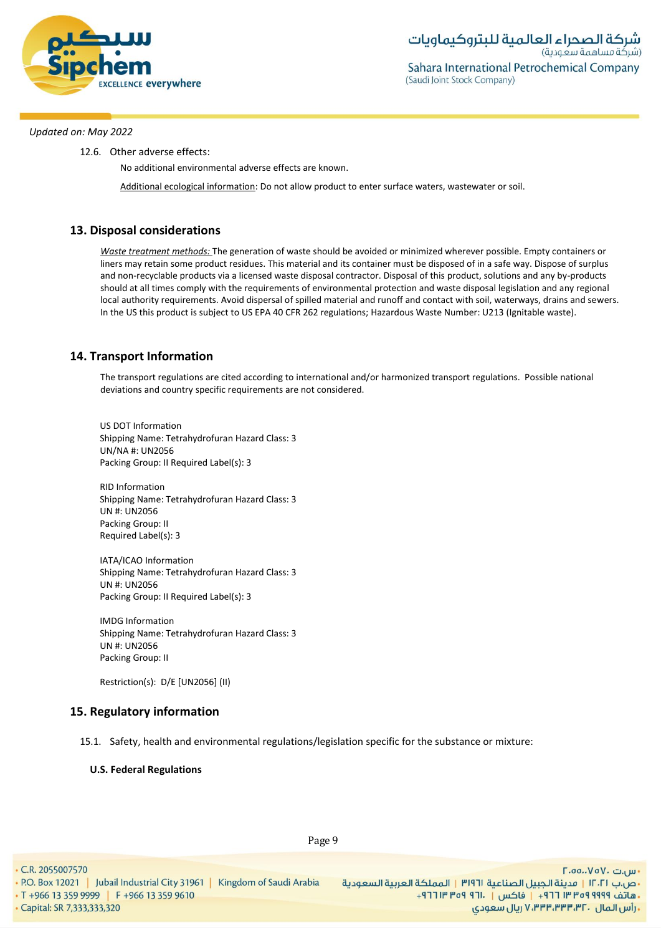

**شركة الصحراء العالمية للبتروكيماويات**<br>(شركة مساهمة سعودية) Sahara International Petrochemical Company (Saudi Joint Stock Company)

#### *Updated on: May 2022*

12.6. Other adverse effects:

No additional environmental adverse effects are known.

Additional ecological information: Do not allow product to enter surface waters, wastewater or soil.

## **13. Disposal considerations**

*Waste treatment methods:* The generation of waste should be avoided or minimized wherever possible. Empty containers or liners may retain some product residues. This material and its container must be disposed of in a safe way. Dispose of surplus and non-recyclable products via a licensed waste disposal contractor. Disposal of this product, solutions and any by-products should at all times comply with the requirements of environmental protection and waste disposal legislation and any regional local authority requirements. Avoid dispersal of spilled material and runoff and contact with soil, waterways, drains and sewers. In the US this product is subject to US EPA 40 CFR 262 regulations; Hazardous Waste Number: U213 (Ignitable waste).

## **14. Transport Information**

The transport regulations are cited according to international and/or harmonized transport regulations. Possible national deviations and country specific requirements are not considered.

US DOT Information Shipping Name: Tetrahydrofuran Hazard Class: 3 UN/NA #: UN2056 Packing Group: II Required Label(s): 3

RID Information Shipping Name: Tetrahydrofuran Hazard Class: 3 UN #: UN2056 Packing Group: II Required Label(s): 3

IATA/ICAO Information Shipping Name: Tetrahydrofuran Hazard Class: 3 UN #: UN2056 Packing Group: II Required Label(s): 3

IMDG Information Shipping Name: Tetrahydrofuran Hazard Class: 3 UN #: UN2056 Packing Group: II

Restriction(s): D/E [UN2056] (II)

## **15. Regulatory information**

15.1. Safety, health and environmental regulations/legislation specific for the substance or mixture:

**U.S. Federal Regulations**

• C.R. 2055007570

· Capital: SR 7,333,333,320

Page 9

 $\Gamma$ .00.. $V$ o $V$ . سى - ص.ب IT، السعادة الجبيل الصناعية الـ 191٣ | المملكة العربية السعودية السعودة العربية السعودة العربية السعودية<br>- هاتف 1919 1949 11 11+ | فاكس | .11+ 1964 19 11+ 1966 13 159 9610 11+ 10+ 1966 13 159 9999 15+ 1966 13 359 19 ريال سعودي, ۷٬۳۳۳٬۳۳۳٬۳۲۰ ريال سعودي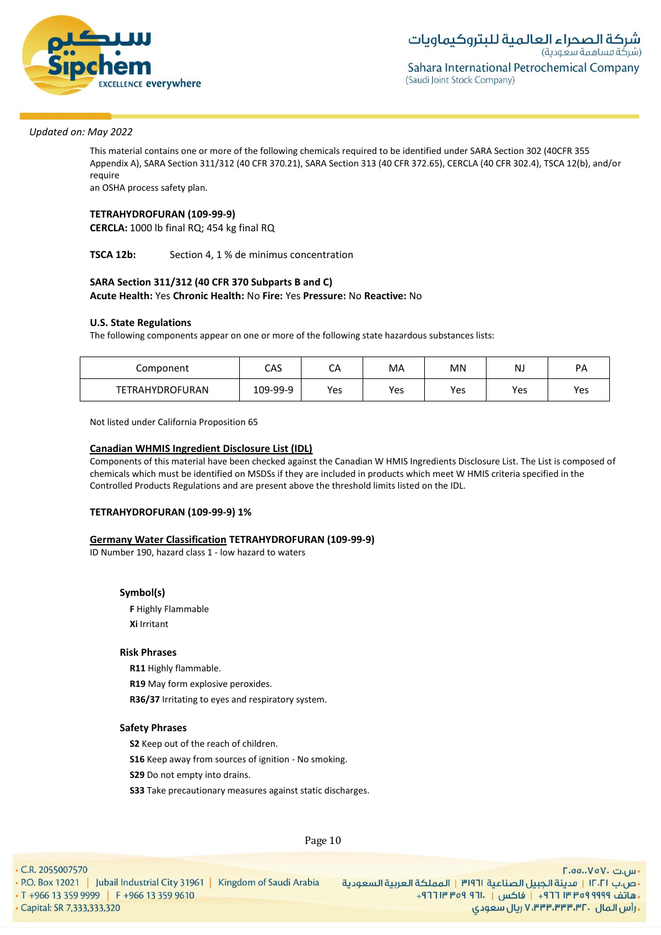

This material contains one or more of the following chemicals required to be identified under SARA Section 302 (40CFR 355 Appendix A), SARA Section 311/312 (40 CFR 370.21), SARA Section 313 (40 CFR 372.65), CERCLA (40 CFR 302.4), TSCA 12(b), and/or require an OSHA process safety plan.

#### **TETRAHYDROFURAN (109-99-9)**

**CERCLA:** 1000 lb final RQ; 454 kg final RQ

**TSCA 12b:** Section 4, 1 % de minimus concentration

#### **SARA Section 311/312 (40 CFR 370 Subparts B and C) Acute Health:** Yes **Chronic Health:** No **Fire:** Yes **Pressure:** No **Reactive:** No

#### **U.S. State Regulations**

The following components appear on one or more of the following state hazardous substances lists:

| Component              | CAS      | CΑ  | MA  | ΜN  | NJ  | PA  |
|------------------------|----------|-----|-----|-----|-----|-----|
| <b>TETRAHYDROFURAN</b> | 109-99-9 | Yes | Yes | Yes | Yes | Yes |

Not listed under California Proposition 65

#### **Canadian WHMIS Ingredient Disclosure List (IDL)**

Components of this material have been checked against the Canadian W HMIS Ingredients Disclosure List. The List is composed of chemicals which must be identified on MSDSs if they are included in products which meet W HMIS criteria specified in the Controlled Products Regulations and are present above the threshold limits listed on the IDL.

#### **TETRAHYDROFURAN (109-99-9) 1%**

#### **Germany Water Classification TETRAHYDROFURAN (109-99-9)**

ID Number 190, hazard class 1 - low hazard to waters

#### **Symbol(s)**

**F** Highly Flammable **Xi** Irritant

#### **Risk Phrases**

**R11** Highly flammable.

**R19** May form explosive peroxides.

**R36/37** Irritating to eyes and respiratory system.

#### **Safety Phrases**

**S2** Keep out of the reach of children.

**S16** Keep away from sources of ignition - No smoking.

**S29** Do not empty into drains.

**S33** Take precautionary measures against static discharges.

Page 10

• C.R. 2055007570

· Capital: SR 7,333,333,320

- س.ت ۷۵۷۰، ۲.۵۵.۰۷۵ - ص.ب IT، السعردية الجبيل الصناعية 1911 | المملكة العربية السعودية | 1961 P.O. Box 12021 | Jubail Industrial City 31961 | Kingdom of Saudi Arabia<br>- هاتف 1919 Pre 13 359 9999 | F +966 13 359 9610 . و 1964 T +966 13 359 961 **, رأس المال ۷٬۳۳۳٬۳۳۰٬۳۲۰ ریال سعودی**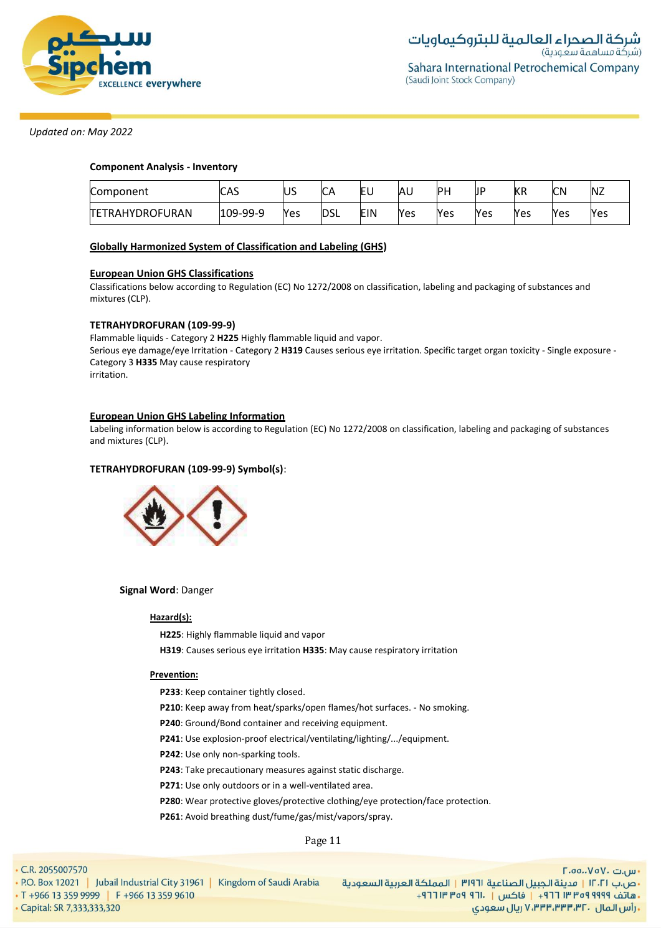

#### **Component Analysis - Inventory**

| Component             | CAS      | ΙUS | r<br>U     | EU  | <b>AL</b> | PН         | IJP | <b>KR</b> | <b>ICN</b> | <b>NZ</b> |
|-----------------------|----------|-----|------------|-----|-----------|------------|-----|-----------|------------|-----------|
| TRAHYDROFURAN<br>ITET | 109-99-9 | Yes | <b>DSL</b> | EIN | Yes       | <b>Yes</b> | Yes | Yes       | Yes        | Yes       |

#### **Globally Harmonized System of Classification and Labeling (GHS)**

#### **European Union GHS Classifications**

Classifications below according to Regulation (EC) No 1272/2008 on classification, labeling and packaging of substances and mixtures (CLP).

#### **TETRAHYDROFURAN (109-99-9)**

Flammable liquids - Category 2 **H225** Highly flammable liquid and vapor. Serious eye damage/eye Irritation - Category 2 **H319** Causes serious eye irritation. Specific target organ toxicity - Single exposure - Category 3 **H335** May cause respiratory irritation.

#### **European Union GHS Labeling Information**

Labeling information below is according to Regulation (EC) No 1272/2008 on classification, labeling and packaging of substances and mixtures (CLP).

#### **TETRAHYDROFURAN (109-99-9) Symbol(s)**:



**Signal Word**: Danger

#### **Hazard(s):**

**H225**: Highly flammable liquid and vapor **H319**: Causes serious eye irritation **H335**: May cause respiratory irritation

#### **Prevention:**

**P233**: Keep container tightly closed.

**P210**: Keep away from heat/sparks/open flames/hot surfaces. - No smoking.

**P240**: Ground/Bond container and receiving equipment.

**P241**: Use explosion-proof electrical/ventilating/lighting/.../equipment.

**P242**: Use only non-sparking tools.

**P243**: Take precautionary measures against static discharge.

**P271**: Use only outdoors or in a well-ventilated area.

**P280**: Wear protective gloves/protective clothing/eye protection/face protection.

**P261**: Avoid breathing dust/fume/gas/mist/vapors/spray.

Page 11

|  | C.R. 2055007570 |  |  |  |  |  |  |
|--|-----------------|--|--|--|--|--|--|
|  |                 |  |  |  |  |  |  |

| <b>C.K. 205500/570</b>                                                    | ا س.ت ۷۵۰٬۷۵۷۰ ا                                                     |
|---------------------------------------------------------------------------|----------------------------------------------------------------------|
| • P.O. Box 12021   Jubail Industrial City 31961   Kingdom of Saudi Arabia | ، ص.ب ١٢٠٢١   مدينة الجبيل الصناعية ٣١٩٦١   المملكة العربية السعودية |
| $\cdot$ T +966 13 359 9999 F +966 13 359 9610                             | ،هاتف ٩٩٩٩ ٩٩٩٩ ٣ ٣٣٣ ١٣ - إ   فاكس     . ٦٦١ ٩٥٩ ١٣ ١٦٦ + +         |
| Capital: SR 7,333,333,320                                                 | رأس المال . ۷٬۳۳۳٬۳۳۳٬۳۲ ریال سعودی                                  |
|                                                                           |                                                                      |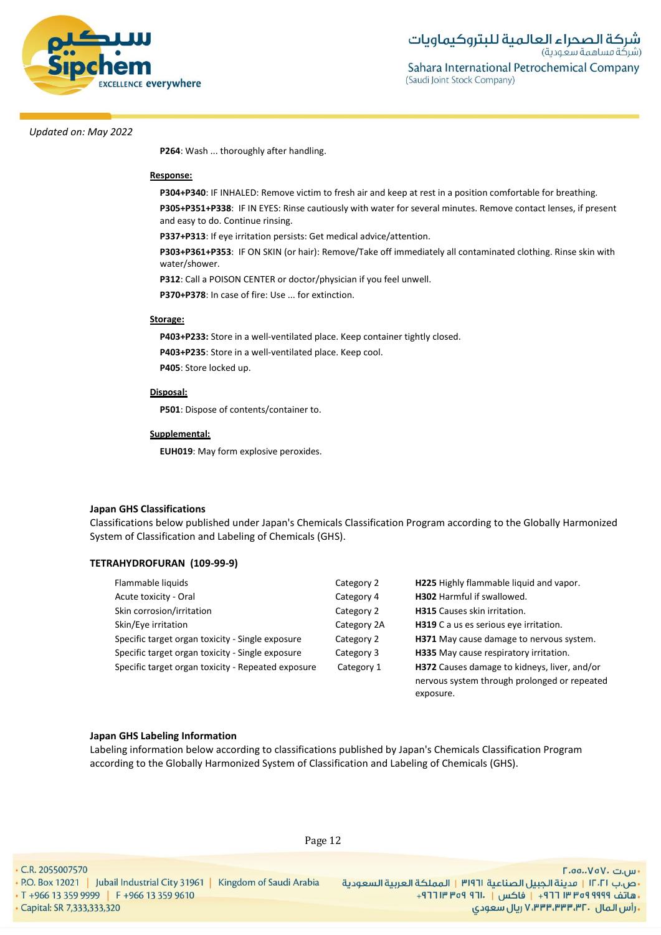

**P264**: Wash ... thoroughly after handling.

#### **Response:**

**P304+P340**: IF INHALED: Remove victim to fresh air and keep at rest in a position comfortable for breathing. **P305+P351+P338**: IF IN EYES: Rinse cautiously with water for several minutes. Remove contact lenses, if present and easy to do. Continue rinsing.

**P337+P313**: If eye irritation persists: Get medical advice/attention.

**P303+P361+P353**: IF ON SKIN (or hair): Remove/Take off immediately all contaminated clothing. Rinse skin with water/shower.

**P312**: Call a POISON CENTER or doctor/physician if you feel unwell.

**P370+P378**: In case of fire: Use ... for extinction.

#### **Storage:**

**P403+P233:** Store in a well-ventilated place. Keep container tightly closed. **P403+P235**: Store in a well-ventilated place. Keep cool. **P405**: Store locked up.

#### **Disposal:**

**P501**: Dispose of contents/container to.

#### **Supplemental:**

**EUH019**: May form explosive peroxides.

#### **Japan GHS Classifications**

Classifications below published under Japan's Chemicals Classification Program according to the Globally Harmonized System of Classification and Labeling of Chemicals (GHS).

#### **TETRAHYDROFURAN (109-99-9)**

| Flammable liquids                                  | Category 2  | H225 Highly flammable liquid and vapor.      |
|----------------------------------------------------|-------------|----------------------------------------------|
| Acute toxicity - Oral                              | Category 4  | <b>H302</b> Harmful if swallowed.            |
| Skin corrosion/irritation                          | Category 2  | <b>H315</b> Causes skin irritation.          |
| Skin/Eye irritation                                | Category 2A | H319 C a us es serious eye irritation.       |
| Specific target organ toxicity - Single exposure   | Category 2  | H371 May cause damage to nervous system.     |
| Specific target organ toxicity - Single exposure   | Category 3  | H335 May cause respiratory irritation.       |
| Specific target organ toxicity - Repeated exposure | Category 1  | H372 Causes damage to kidneys, liver, and/or |
|                                                    |             | nervous system through prolonged or repeated |

#### **Japan GHS Labeling Information**

Labeling information below according to classifications published by Japan's Chemicals Classification Program according to the Globally Harmonized System of Classification and Labeling of Chemicals (GHS).

• C.R. 2055007570

Page 12

· Capital: SR 7,333,333,320

. س.ت ۷۵۷۰، ۲.۵۵.۰۷ - ص.ب IT، السعردية الجبيل الصناعية 1911 | المملكة العربية السعودية | 1961 P.O. Box 12021 | Jubail Industrial City 31961 | Kingdom of Saudi Arabia<br>- هاتف 1919 Pre 13 359 9999 | F +966 13 359 9610 . و 1964 T +966 13 359 961 ، رأس المال ، ۷٬۳۳۳٬۳۳۳٬۳۲ ريال سعودي

exposure.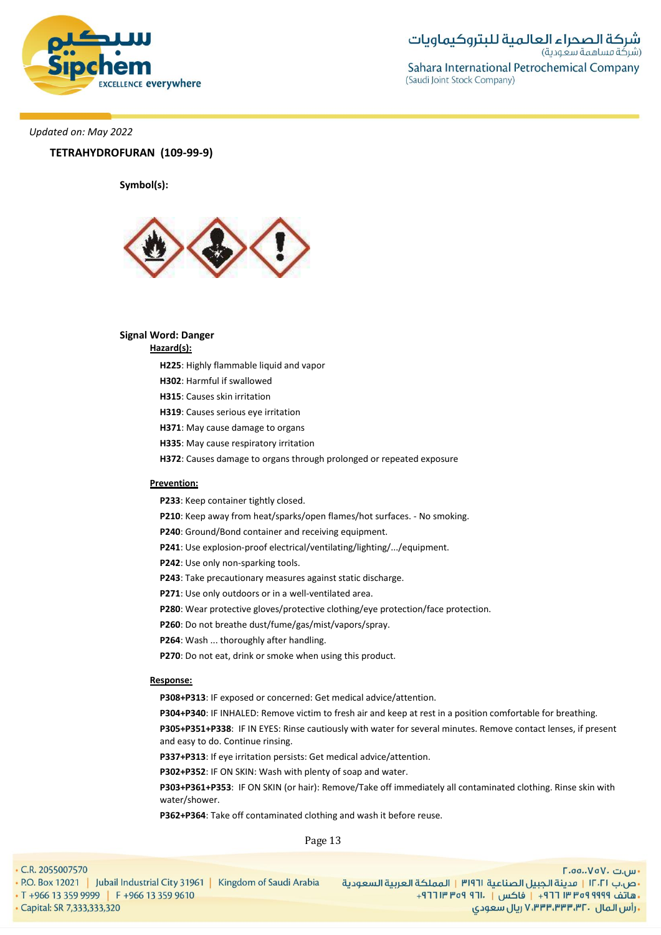

**شركة الصحراء العالمية للبتروكيماويات**<br>(شركة مساهمة سعودية) Sahara International Petrochemical Company (Saudi Joint Stock Company)

#### *Updated on: May 2022*

## **TETRAHYDROFURAN (109-99-9)**

**Symbol(s):**



#### **Signal Word: Danger**

#### **Hazard(s):**

- **H225**: Highly flammable liquid and vapor
- **H302**: Harmful if swallowed
- **H315**: Causes skin irritation
- **H319**: Causes serious eye irritation
- **H371**: May cause damage to organs
- **H335**: May cause respiratory irritation
- **H372**: Causes damage to organs through prolonged or repeated exposure

#### **Prevention:**

- **P233**: Keep container tightly closed.
- **P210**: Keep away from heat/sparks/open flames/hot surfaces. No smoking.
- **P240**: Ground/Bond container and receiving equipment.
- **P241**: Use explosion-proof electrical/ventilating/lighting/.../equipment.
- **P242**: Use only non-sparking tools.
- **P243**: Take precautionary measures against static discharge.
- **P271**: Use only outdoors or in a well-ventilated area.
- **P280**: Wear protective gloves/protective clothing/eye protection/face protection.
- **P260**: Do not breathe dust/fume/gas/mist/vapors/spray.
- **P264**: Wash ... thoroughly after handling.
- **P270**: Do not eat, drink or smoke when using this product.

#### **Response:**

**P308+P313**: IF exposed or concerned: Get medical advice/attention.

**P304+P340**: IF INHALED: Remove victim to fresh air and keep at rest in a position comfortable for breathing. **P305+P351+P338**: IF IN EYES: Rinse cautiously with water for several minutes. Remove contact lenses, if present and easy to do. Continue rinsing.

- **P337+P313**: If eye irritation persists: Get medical advice/attention.
- **P302+P352**: IF ON SKIN: Wash with plenty of soap and water.

**P303+P361+P353**: IF ON SKIN (or hair): Remove/Take off immediately all contaminated clothing. Rinse skin with water/shower.

**P362+P364**: Take off contaminated clothing and wash it before reuse.

Page 13

- C.R. 2055007570
- 
- · Capital: SR 7,333,333,320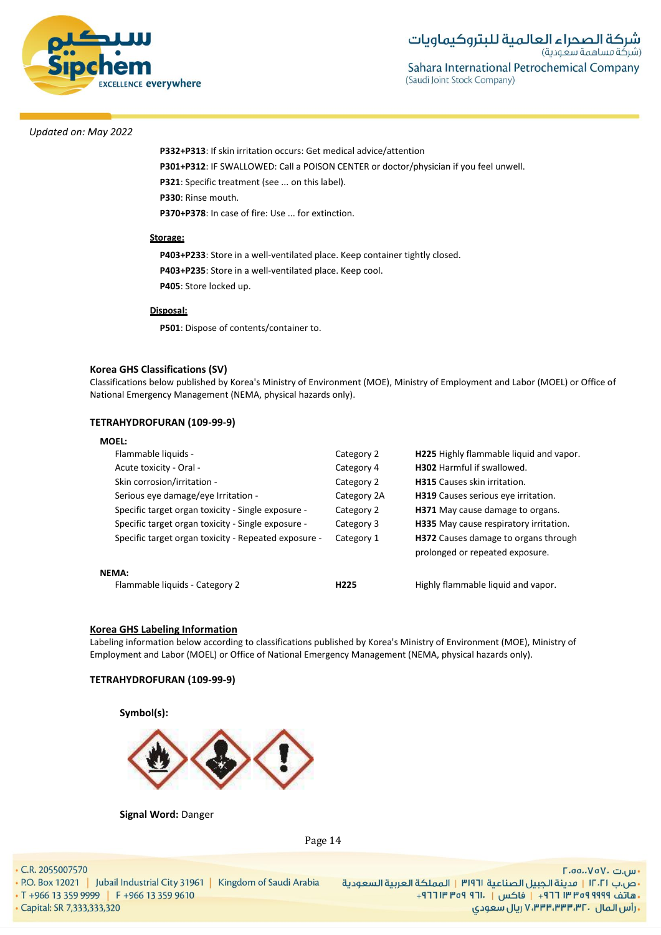

**P332+P313**: If skin irritation occurs: Get medical advice/attention

**P301+P312**: IF SWALLOWED: Call a POISON CENTER or doctor/physician if you feel unwell.

**P321**: Specific treatment (see ... on this label).

**P330**: Rinse mouth.

**P370+P378**: In case of fire: Use ... for extinction.

#### **Storage:**

**P403+P233**: Store in a well-ventilated place. Keep container tightly closed. **P403+P235**: Store in a well-ventilated place. Keep cool.

**P405**: Store locked up.

#### **Disposal:**

**P501**: Dispose of contents/container to.

#### **Korea GHS Classifications (SV)**

Classifications below published by Korea's Ministry of Environment (MOE), Ministry of Employment and Labor (MOEL) or Office of National Emergency Management (NEMA, physical hazards only).

#### **TETRAHYDROFURAN (109-99-9)**

| <b>MOEL:</b>                                         |                  |                                                                                |
|------------------------------------------------------|------------------|--------------------------------------------------------------------------------|
| Flammable liquids -                                  | Category 2       | H225 Highly flammable liquid and vapor.                                        |
| Acute toxicity - Oral -                              | Category 4       | <b>H302</b> Harmful if swallowed.                                              |
| Skin corrosion/irritation -                          | Category 2       | <b>H315</b> Causes skin irritation.                                            |
| Serious eye damage/eye Irritation -                  | Category 2A      | H319 Causes serious eye irritation.                                            |
| Specific target organ toxicity - Single exposure -   | Category 2       | H371 May cause damage to organs.                                               |
| Specific target organ toxicity - Single exposure -   | Category 3       | H335 May cause respiratory irritation.                                         |
| Specific target organ toxicity - Repeated exposure - | Category 1       | <b>H372</b> Causes damage to organs through<br>prolonged or repeated exposure. |
| NEMA:                                                |                  |                                                                                |
| Flammable liquids - Category 2                       | H <sub>225</sub> | Highly flammable liquid and vapor.                                             |

#### **Korea GHS Labeling Information**

Labeling information below according to classifications published by Korea's Ministry of Environment (MOE), Ministry of Employment and Labor (MOEL) or Office of National Emergency Management (NEMA, physical hazards only).

#### **TETRAHYDROFURAN (109-99-9)**

**Symbol(s):**



**Signal Word:** Danger

Page 14

• C.R. 2055007570

· Capital: SR 7,333,333,320

- س.ت ۷۵۷۰، ۲.۵۵.۰۷۵ - ص.ب IT، السعرية الجبيل الصناعية 1911 | المملكة العربية السعودية | 1961 P.O. Box | 12021 | Jubail Industrial City 31961 | Kingdom of Saudi Arabia<br>- هاتف 1949 Pre 13 359 9999 | F +966 13 359 9610 . و 1964 T +966 13 359 96 ريال سعودي, ۷٬۳۳۳٬۳۳۳٬۳۲۰ ريال سعودي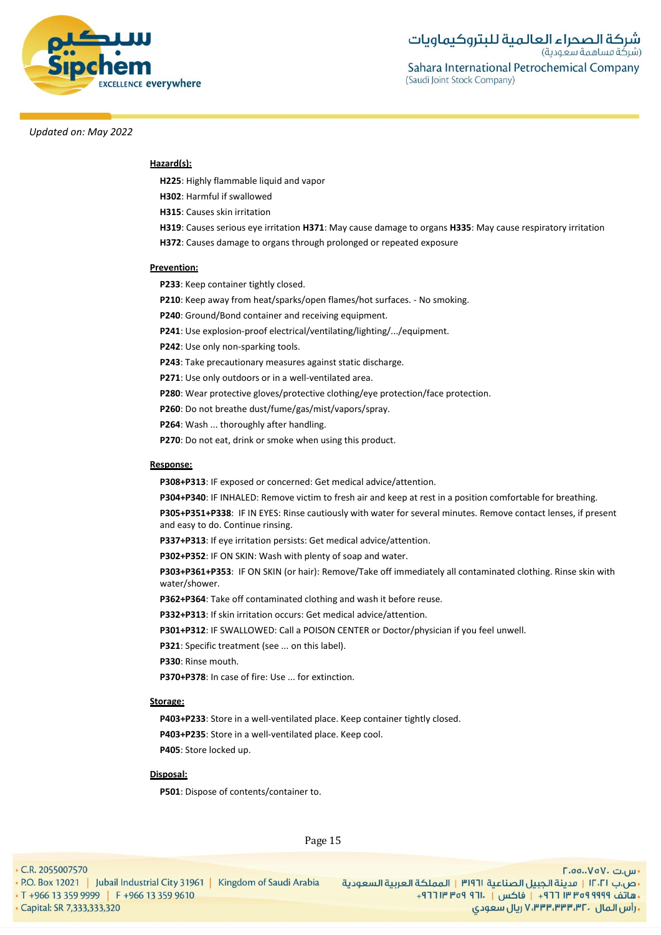

#### **Hazard(s):**

- **H225**: Highly flammable liquid and vapor
- **H302**: Harmful if swallowed
- **H315**: Causes skin irritation
- **H319**: Causes serious eye irritation **H371**: May cause damage to organs **H335**: May cause respiratory irritation
- **H372**: Causes damage to organs through prolonged or repeated exposure

#### **Prevention:**

- **P233**: Keep container tightly closed.
- **P210**: Keep away from heat/sparks/open flames/hot surfaces. No smoking.
- **P240**: Ground/Bond container and receiving equipment.
- **P241**: Use explosion-proof electrical/ventilating/lighting/.../equipment.
- **P242**: Use only non-sparking tools.
- **P243**: Take precautionary measures against static discharge.
- **P271**: Use only outdoors or in a well-ventilated area.
- **P280**: Wear protective gloves/protective clothing/eye protection/face protection.
- **P260**: Do not breathe dust/fume/gas/mist/vapors/spray.
- **P264**: Wash ... thoroughly after handling.
- **P270**: Do not eat, drink or smoke when using this product.

#### **Response:**

**P308+P313**: IF exposed or concerned: Get medical advice/attention.

**P304+P340**: IF INHALED: Remove victim to fresh air and keep at rest in a position comfortable for breathing.

**P305+P351+P338**: IF IN EYES: Rinse cautiously with water for several minutes. Remove contact lenses, if present and easy to do. Continue rinsing.

- **P337+P313**: If eye irritation persists: Get medical advice/attention.
- **P302+P352**: IF ON SKIN: Wash with plenty of soap and water.

**P303+P361+P353**: IF ON SKIN (or hair): Remove/Take off immediately all contaminated clothing. Rinse skin with water/shower.

- **P362+P364**: Take off contaminated clothing and wash it before reuse.
- **P332+P313**: If skin irritation occurs: Get medical advice/attention.
- **P301+P312**: IF SWALLOWED: Call a POISON CENTER or Doctor/physician if you feel unwell.
- **P321**: Specific treatment (see ... on this label).
- **P330**: Rinse mouth.
- **P370+P378**: In case of fire: Use ... for extinction.

#### **Storage:**

- **P403+P233**: Store in a well-ventilated place. Keep container tightly closed.
- **P403+P235**: Store in a well-ventilated place. Keep cool.
- **P405**: Store locked up.

#### **Disposal:**

**P501**: Dispose of contents/container to.

Page 15

• C.R. 2055007570

· Capital: SR 7,333,333,320

اس.ت ۷۵۷۰، ۲.۵۵.۰۷۵ - ص.ب IT، السعادة الجبيل الصناعية الـ 191٣ | المملكة العربية السعودية السعودة العربية السعودة العربية السعودية<br>- هاتف 1919 1949 11 11+ | فاكس | .11+ 1964 19 11+ 1966 13 159 9610 11+ 10+ 1966 13 159 9999 15+ 1966 13 359 19 **, رأس المال ۷٬۳۳۳٬۳۳۰٬۳۲۰ ریال سعودی**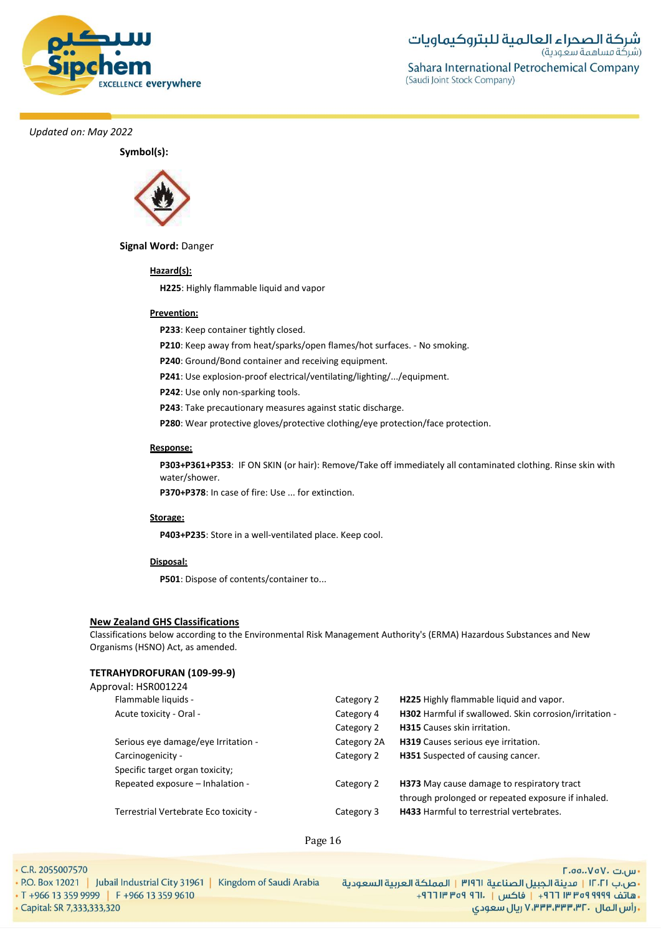

**Symbol(s):**



**Signal Word:** Danger

#### **Hazard(s):**

**H225**: Highly flammable liquid and vapor

#### **Prevention:**

**P233**: Keep container tightly closed.

**P210**: Keep away from heat/sparks/open flames/hot surfaces. - No smoking.

**P240**: Ground/Bond container and receiving equipment.

- **P241**: Use explosion-proof electrical/ventilating/lighting/.../equipment.
- **P242**: Use only non-sparking tools.
- **P243**: Take precautionary measures against static discharge.
- **P280**: Wear protective gloves/protective clothing/eye protection/face protection.

#### **Response:**

**P303+P361+P353**: IF ON SKIN (or hair): Remove/Take off immediately all contaminated clothing. Rinse skin with water/shower.

**P370+P378**: In case of fire: Use ... for extinction.

#### **Storage:**

**P403+P235**: Store in a well-ventilated place. Keep cool.

#### **Disposal:**

**P501**: Dispose of contents/container to...

#### **New Zealand GHS Classifications**

Classifications below according to the Environmental Risk Management Authority's (ERMA) Hazardous Substances and New Organisms (HSNO) Act, as amended.

### **TETRAHYDROFURAN (109-99-9)**

| Approval: HSR001224                   |             |                                                                                                         |
|---------------------------------------|-------------|---------------------------------------------------------------------------------------------------------|
| Flammable liquids -                   | Category 2  | H225 Highly flammable liquid and vapor.                                                                 |
| Acute toxicity - Oral -               | Category 4  | H302 Harmful if swallowed. Skin corrosion/irritation -                                                  |
|                                       | Category 2  | <b>H315</b> Causes skin irritation.                                                                     |
| Serious eye damage/eye Irritation -   | Category 2A | H319 Causes serious eye irritation.                                                                     |
| Carcinogenicity -                     | Category 2  | H351 Suspected of causing cancer.                                                                       |
| Specific target organ toxicity;       |             |                                                                                                         |
| Repeated exposure - Inhalation -      | Category 2  | <b>H373</b> May cause damage to respiratory tract<br>through prolonged or repeated exposure if inhaled. |
| Terrestrial Vertebrate Eco toxicity - | Category 3  | <b>H433</b> Harmful to terrestrial vertebrates.                                                         |

Page 16

• C.R. 2055007570

- س.ت ۷۵۷۰، ۲.۵۵.۰۷۵ - ص.ب IT، 1 | مدينة الجبيل الصناعية 1191 | المملكة العربية السعودية | P.O. Box 12021 | Jubail Industrial City 31961 | Kingdom of Saudi Arabia<br>- هاتف 1999 Pred 117 + | فاكس | .111 Pred 11 +966 13 359 9610 | . T +966 13 359 **, رأس المال ۷٬۳۳۳٬۳۳۰٬۳۲۰ ریال سعودی** 

· Capital: SR 7,333,333,320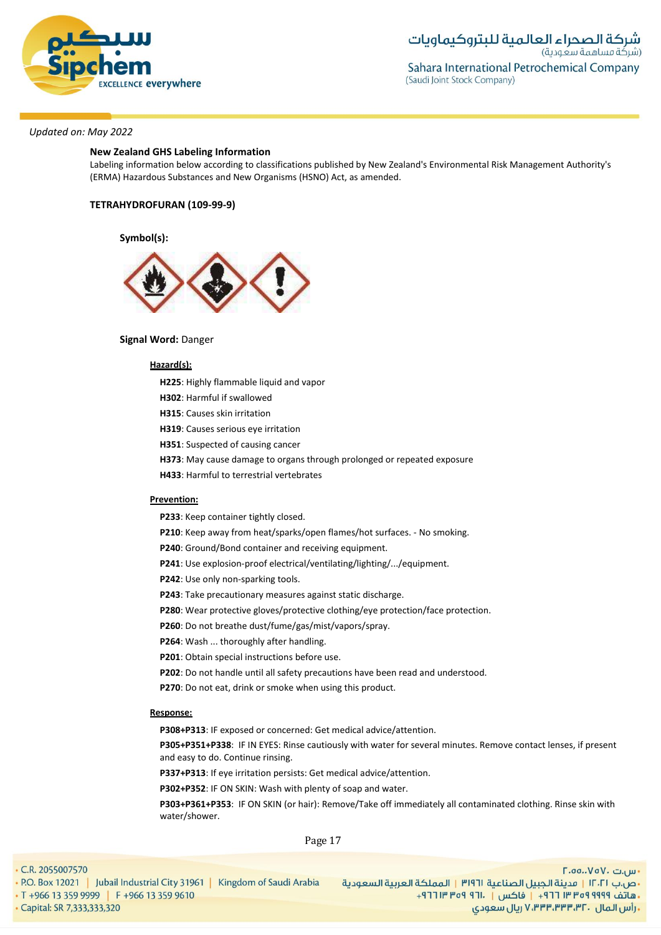

#### **New Zealand GHS Labeling Information**

Labeling information below according to classifications published by New Zealand's Environmental Risk Management Authority's (ERMA) Hazardous Substances and New Organisms (HSNO) Act, as amended.

#### **TETRAHYDROFURAN (109-99-9)**

**Symbol(s):**



#### **Signal Word:** Danger

#### **Hazard(s):**

**H225**: Highly flammable liquid and vapor

- **H302**: Harmful if swallowed
- **H315**: Causes skin irritation
- **H319**: Causes serious eye irritation
- **H351**: Suspected of causing cancer
- **H373**: May cause damage to organs through prolonged or repeated exposure
- **H433**: Harmful to terrestrial vertebrates

#### **Prevention:**

- **P233**: Keep container tightly closed.
- **P210**: Keep away from heat/sparks/open flames/hot surfaces. No smoking.
- **P240**: Ground/Bond container and receiving equipment.
- **P241**: Use explosion-proof electrical/ventilating/lighting/.../equipment.
- **P242**: Use only non-sparking tools.
- **P243**: Take precautionary measures against static discharge.
- **P280**: Wear protective gloves/protective clothing/eye protection/face protection.
- **P260**: Do not breathe dust/fume/gas/mist/vapors/spray.
- **P264**: Wash ... thoroughly after handling.
- **P201**: Obtain special instructions before use.
- **P202**: Do not handle until all safety precautions have been read and understood.
- **P270**: Do not eat, drink or smoke when using this product.

#### **Response:**

**P308+P313**: IF exposed or concerned: Get medical advice/attention.

**P305+P351+P338**: IF IN EYES: Rinse cautiously with water for several minutes. Remove contact lenses, if present and easy to do. Continue rinsing.

**P337+P313**: If eye irritation persists: Get medical advice/attention.

**P302+P352**: IF ON SKIN: Wash with plenty of soap and water.

**P303+P361+P353**: IF ON SKIN (or hair): Remove/Take off immediately all contaminated clothing. Rinse skin with water/shower.

Page 17

• C.R. 2055007570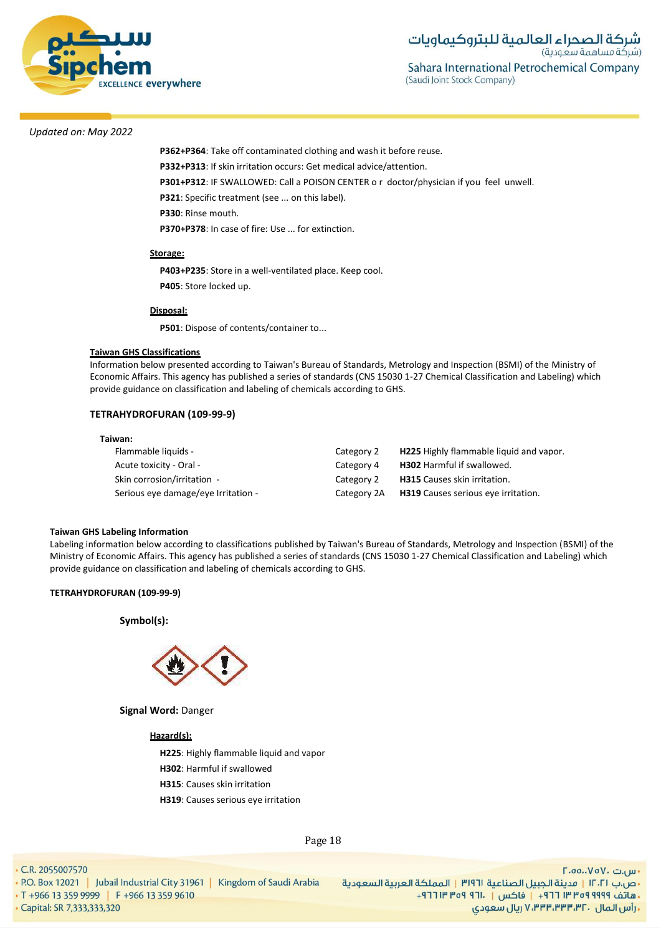

**P362+P364**: Take off contaminated clothing and wash it before reuse.

- **P332+P313**: If skin irritation occurs: Get medical advice/attention.
- **P301+P312**: IF SWALLOWED: Call a POISON CENTER o r doctor/physician if you feel unwell.

**P321**: Specific treatment (see ... on this label).

**P330**: Rinse mouth.

**P370+P378**: In case of fire: Use ... for extinction.

### **Storage:**

**P403+P235**: Store in a well-ventilated place. Keep cool. **P405**: Store locked up.

#### **Disposal:**

**P501**: Dispose of contents/container to...

#### **Taiwan GHS Classifications**

Information below presented according to Taiwan's Bureau of Standards, Metrology and Inspection (BSMI) of the Ministry of Economic Affairs. This agency has published a series of standards (CNS 15030 1-27 Chemical Classification and Labeling) which provide guidance on classification and labeling of chemicals according to GHS.

#### **TETRAHYDROFURAN (109-99-9)**

| iwan:                               |             |                                                |
|-------------------------------------|-------------|------------------------------------------------|
| Flammable liquids -                 | Category 2  | <b>H225</b> Highly flammable liquid and vapor. |
| Acute toxicity - Oral -             | Category 4  | <b>H302</b> Harmful if swallowed.              |
| Skin corrosion/irritation -         | Category 2  | <b>H315</b> Causes skin irritation.            |
| Serious eye damage/eye Irritation - | Category 2A | <b>H319</b> Causes serious eye irritation.     |

#### **Taiwan GHS Labeling Information**

**Taiwan:**

Labeling information below according to classifications published by Taiwan's Bureau of Standards, Metrology and Inspection (BSMI) of the Ministry of Economic Affairs. This agency has published a series of standards (CNS 15030 1-27 Chemical Classification and Labeling) which provide guidance on classification and labeling of chemicals according to GHS.

#### **TETRAHYDROFURAN (109-99-9)**

#### **Symbol(s):**



**Signal Word:** Danger

**Hazard(s):**

**H225**: Highly flammable liquid and vapor **H302**: Harmful if swallowed **H315**: Causes skin irritation **H319**: Causes serious eye irritation

Page 18

• C.R. 2055007570

· Capital: SR 7,333,333,320

. س.ت ۷۵۷۰، ۲.۵۵.۰۷ - ص.ب IT، السعردية الجبيل الصناعية 1911 | المملكة العربية السعودية | 1961 P.O. Box 12021 | Jubail Industrial City 31961 | Kingdom of Saudi Arabia<br>- هاتف 1919 Pre 13 359 9999 | F +966 13 359 9610 . و 1964 T +966 13 359 961 **, رأس المال ۷٬۳۳۳٬۳۳۰٬۳۲۰ ریال سعودی**